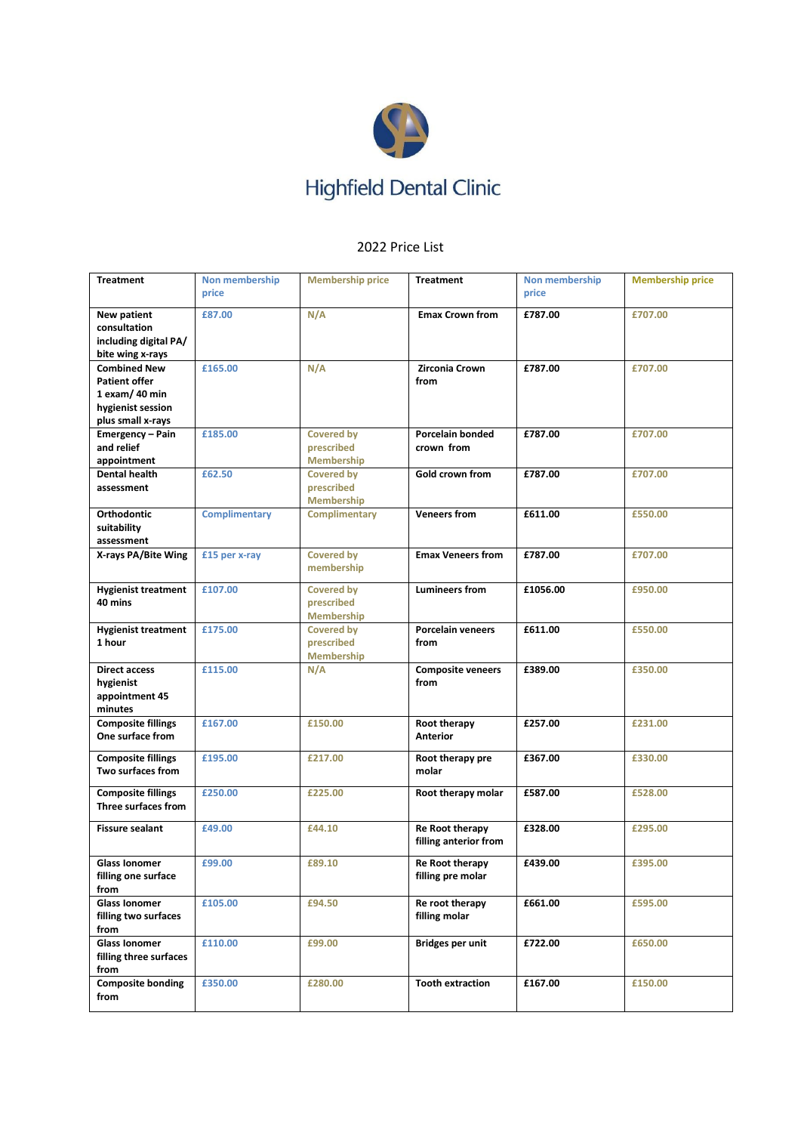

## 2022 Price List

| <b>Treatment</b>                                                                                          | Non membership<br>price | <b>Membership price</b>                              | <b>Treatment</b>                                | Non membership<br>price | <b>Membership price</b> |
|-----------------------------------------------------------------------------------------------------------|-------------------------|------------------------------------------------------|-------------------------------------------------|-------------------------|-------------------------|
| New patient<br>consultation<br>including digital PA/<br>bite wing x-rays                                  | £87.00                  | N/A                                                  | <b>Emax Crown from</b>                          | £787.00                 | £707.00                 |
| <b>Combined New</b><br><b>Patient offer</b><br>$1$ exam/ 40 min<br>hygienist session<br>plus small x-rays | £165.00                 | N/A                                                  | <b>Zirconia Crown</b><br>from                   | £787.00                 | £707.00                 |
| Emergency - Pain<br>and relief<br>appointment                                                             | £185.00                 | <b>Covered by</b><br>prescribed<br><b>Membership</b> | Porcelain bonded<br>crown from                  | £787.00                 | £707.00                 |
| <b>Dental health</b><br>assessment                                                                        | £62.50                  | <b>Covered by</b><br>prescribed<br><b>Membership</b> | Gold crown from                                 | £787.00                 | £707.00                 |
| <b>Orthodontic</b><br>suitability<br>assessment                                                           | <b>Complimentary</b>    | <b>Complimentary</b>                                 | <b>Veneers from</b>                             | £611.00                 | £550.00                 |
| X-rays PA/Bite Wing                                                                                       | £15 per x-ray           | <b>Covered by</b><br>membership                      | <b>Emax Veneers from</b>                        | £787.00                 | £707.00                 |
| <b>Hygienist treatment</b><br>40 mins                                                                     | £107.00                 | <b>Covered by</b><br>prescribed<br><b>Membership</b> | <b>Lumineers from</b>                           | £1056.00                | £950.00                 |
| <b>Hygienist treatment</b><br>1 hour                                                                      | £175.00                 | <b>Covered by</b><br>prescribed<br><b>Membership</b> | <b>Porcelain veneers</b><br>from                | £611.00                 | £550.00                 |
| <b>Direct access</b><br>hygienist<br>appointment 45<br>minutes                                            | £115.00                 | N/A                                                  | <b>Composite veneers</b><br>from                | £389.00                 | £350.00                 |
| <b>Composite fillings</b><br>One surface from                                                             | £167.00                 | £150.00                                              | Root therapy<br><b>Anterior</b>                 | £257.00                 | £231.00                 |
| <b>Composite fillings</b><br>Two surfaces from                                                            | £195.00                 | £217.00                                              | Root therapy pre<br>molar                       | £367.00                 | £330.00                 |
| <b>Composite fillings</b><br>Three surfaces from                                                          | £250.00                 | £225.00                                              | Root therapy molar                              | £587.00                 | £528.00                 |
| <b>Fissure sealant</b>                                                                                    | £49.00                  | £44.10                                               | <b>Re Root therapy</b><br>filling anterior from | £328.00                 | £295.00                 |
| Glass Ionomer<br>filling one surface<br>from                                                              | £99.00                  | £89.10                                               | Re Root therapy<br>filling pre molar            | £439.00                 | £395.00                 |
| <b>Glass Ionomer</b><br>filling two surfaces<br>from                                                      | £105.00                 | £94.50                                               | Re root therapy<br>filling molar                | £661.00                 | £595.00                 |
| <b>Glass Ionomer</b><br>filling three surfaces<br>from                                                    | £110.00                 | £99.00                                               | Bridges per unit                                | £722.00                 | £650.00                 |
| <b>Composite bonding</b><br>from                                                                          | £350.00                 | £280.00                                              | <b>Tooth extraction</b>                         | £167.00                 | £150.00                 |